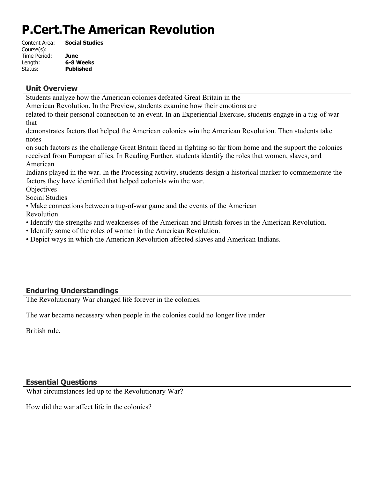# **P.Cert.The American Revolution**

| Content Area: | <b>Social Studies</b> |
|---------------|-----------------------|
| Course(s):    |                       |
| Time Period:  | June                  |
| Length:       | 6-8 Weeks             |
| Status:       | <b>Published</b>      |

#### **Unit Overview**

Students analyze how the American colonies defeated Great Britain in the

American Revolution. In the Preview, students examine how their emotions are

related to their personal connection to an event. In an Experiential Exercise, students engage in a tug-of-war that

demonstrates factors that helped the American colonies win the American Revolution. Then students take notes

on such factors as the challenge Great Britain faced in fighting so far from home and the support the colonies received from European allies. In Reading Further, students identify the roles that women, slaves, and American

Indians played in the war. In the Processing activity, students design a historical marker to commemorate the factors they have identified that helped colonists win the war.

**Objectives** 

Social Studies

• Make connections between a tug-of-war game and the events of the American Revolution.

- Identify the strengths and weaknesses of the American and British forces in the American Revolution.
- Identify some of the roles of women in the American Revolution.
- Depict ways in which the American Revolution affected slaves and American Indians.

## **Enduring Understandings**

The Revolutionary War changed life forever in the colonies.

The war became necessary when people in the colonies could no longer live under

British rule.

#### **Essential Questions**

What circumstances led up to the Revolutionary War?

How did the war affect life in the colonies?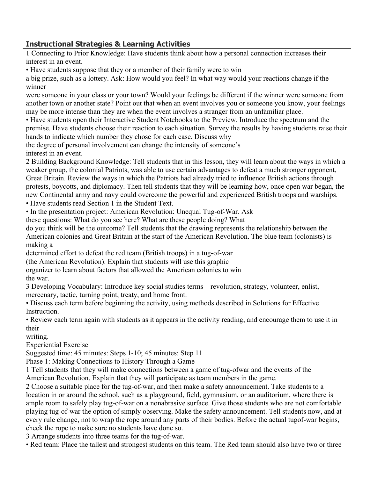## **Instructional Strategies & Learning Activities**

1 Connecting to Prior Knowledge: Have students think about how a personal connection increases their interest in an event.

• Have students suppose that they or a member of their family were to win

a big prize, such as a lottery. Ask: How would you feel? In what way would your reactions change if the winner

were someone in your class or your town? Would your feelings be different if the winner were someone from another town or another state? Point out that when an event involves you or someone you know, your feelings may be more intense than they are when the event involves a stranger from an unfamiliar place.

• Have students open their Interactive Student Notebooks to the Preview. Introduce the spectrum and the premise. Have students choose their reaction to each situation. Survey the results by having students raise their hands to indicate which number they chose for each case. Discuss why

the degree of personal involvement can change the intensity of someone's interest in an event.

2 Building Background Knowledge: Tell students that in this lesson, they will learn about the ways in which a weaker group, the colonial Patriots, was able to use certain advantages to defeat a much stronger opponent, Great Britain. Review the ways in which the Patriots had already tried to influence British actions through protests, boycotts, and diplomacy. Then tell students that they will be learning how, once open war began, the new Continental army and navy could overcome the powerful and experienced British troops and warships.

• Have students read Section 1 in the Student Text.

• In the presentation project: American Revolution: Unequal Tug-of-War. Ask

these questions: What do you see here? What are these people doing? What

do you think will be the outcome? Tell students that the drawing represents the relationship between the American colonies and Great Britain at the start of the American Revolution. The blue team (colonists) is making a

determined effort to defeat the red team (British troops) in a tug-of-war

(the American Revolution). Explain that students will use this graphic

organizer to learn about factors that allowed the American colonies to win the war.

3 Developing Vocabulary: Introduce key social studies terms—revolution, strategy, volunteer, enlist, mercenary, tactic, turning point, treaty, and home front.

• Discuss each term before beginning the activity, using methods described in Solutions for Effective Instruction.

• Review each term again with students as it appears in the activity reading, and encourage them to use it in their

writing.

Experiential Exercise

Suggested time: 45 minutes: Steps 1-10; 45 minutes: Step 11

Phase 1: Making Connections to History Through a Game

1 Tell students that they will make connections between a game of tug-ofwar and the events of the American Revolution. Explain that they will participate as team members in the game.

2 Choose a suitable place for the tug-of-war, and then make a safety announcement. Take students to a location in or around the school, such as a playground, field, gymnasium, or an auditorium, where there is ample room to safely play tug-of-war on a nonabrasive surface. Give those students who are not comfortable playing tug-of-war the option of simply observing. Make the safety announcement. Tell students now, and at every rule change, not to wrap the rope around any parts of their bodies. Before the actual tugof-war begins, check the rope to make sure no students have done so.

3 Arrange students into three teams for the tug-of-war.

• Red team: Place the tallest and strongest students on this team. The Red team should also have two or three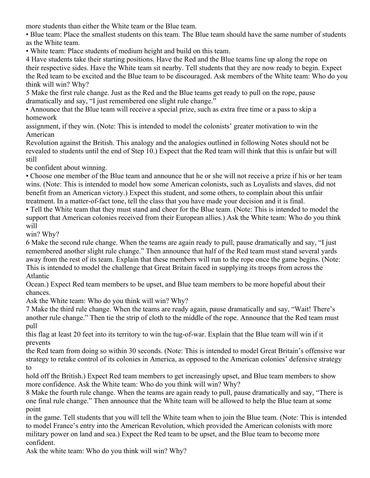more students than either the White team or the Blue team.

• Blue team: Place the smallest students on this team. The Blue team should have the same number of students as the White team.

• White team: Place students of medium height and build on this team.

4 Have students take their starting positions. Have the Red and the Blue teams line up along the rope on their respective sides. Have the White team sit nearby. Tell students that they are now ready to begin. Expect the Red team to be excited and the Blue team to be discouraged. Ask members of the White team: Who do you think will win? Why?

5 Make the first rule change. Just as the Red and the Blue teams get ready to pull on the rope, pause dramatically and say, "I just remembered one slight rule change."

• Announce that the Blue team will receive a special prize, such as extra free time or a pass to skip a homework

assignment, if they win. (Note: This is intended to model the colonists' greater motivation to win the American

Revolution against the British. This analogy and the analogies outlined in following Notes should not be revealed to students until the end of Step 10.) Expect that the Red team will think that this is unfair but will still

be confident about winning.

• Choose one member of the Blue team and announce that he or she will not receive a prize if his or her team wins. (Note: This is intended to model how some American colonists, such as Loyalists and slaves, did not benefit from an American victory.) Expect this student, and some others, to complain about this unfair treatment. In a matter-of-fact tone, tell the class that you have made your decision and it is final.

• Tell the White team that they must stand and cheer for the Blue team. (Note: This is intended to model the support that American colonies received from their European allies.) Ask the White team: Who do you think will

win? Why?

6 Make the second rule change. When the teams are again ready to pull, pause dramatically and say, "I just remembered another slight rule change." Then announce that half of the Red team must stand several yards away from the rest of its team. Explain that these members will run to the rope once the game begins. (Note: This is intended to model the challenge that Great Britain faced in supplying its troops from across the Atlantic

Ocean.) Expect Red team members to be upset, and Blue team members to be more hopeful about their chances.

Ask the White team: Who do you think will win? Why?

7 Make the third rule change. When the teams are ready again, pause dramatically and say, "Wait! There's another rule change." Then tie the strip of cloth to the middle of the rope. Announce that the Red team must pull

this flag at least 20 feet into its territory to win the tug-of-war. Explain that the Blue team will win if it prevents

the Red team from doing so within 30 seconds. (Note: This is intended to model Great Britain's offensive war strategy to retake control of its colonies in America, as opposed to the American colonies' defensive strategy to

hold off the British.) Expect Red team members to get increasingly upset, and Blue team members to show more confidence. Ask the White team: Who do you think will win? Why?

8 Make the fourth rule change. When the teams are again ready to pull, pause dramatically and say, "There is one final rule change." Then announce that the White team will be allowed to help the Blue team at some point

in the game. Tell students that you will tell the White team when to join the Blue team. (Note: This is intended to model France's entry into the American Revolution, which provided the American colonists with more military power on land and sea.) Expect the Red team to be upset, and the Blue team to become more confident.

Ask the white team: Who do you think will win? Why?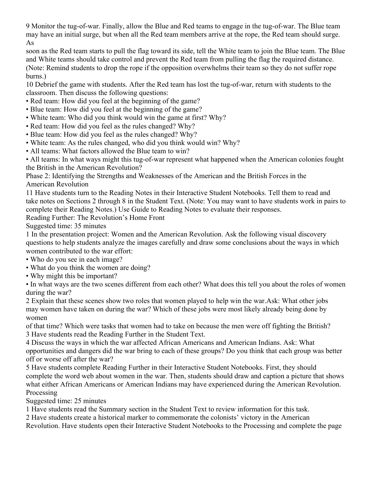9 Monitor the tug-of-war. Finally, allow the Blue and Red teams to engage in the tug-of-war. The Blue team may have an initial surge, but when all the Red team members arrive at the rope, the Red team should surge. As

soon as the Red team starts to pull the flag toward its side, tell the White team to join the Blue team. The Blue and White teams should take control and prevent the Red team from pulling the flag the required distance. (Note: Remind students to drop the rope if the opposition overwhelms their team so they do not suffer rope burns.)

10 Debrief the game with students. After the Red team has lost the tug-of-war, return with students to the classroom. Then discuss the following questions:

- Red team: How did you feel at the beginning of the game?
- Blue team: How did you feel at the beginning of the game?
- White team: Who did you think would win the game at first? Why?
- Red team: How did you feel as the rules changed? Why?
- Blue team: How did you feel as the rules changed? Why?
- White team: As the rules changed, who did you think would win? Why?
- All teams: What factors allowed the Blue team to win?

• All teams: In what ways might this tug-of-war represent what happened when the American colonies fought the British in the American Revolution?

Phase 2: Identifying the Strengths and Weaknesses of the American and the British Forces in the American Revolution

11 Have students turn to the Reading Notes in their Interactive Student Notebooks. Tell them to read and take notes on Sections 2 through 8 in the Student Text. (Note: You may want to have students work in pairs to complete their Reading Notes.) Use Guide to Reading Notes to evaluate their responses.

Reading Further: The Revolution's Home Front

Suggested time: 35 minutes

1 In the presentation project: Women and the American Revolution. Ask the following visual discovery questions to help students analyze the images carefully and draw some conclusions about the ways in which women contributed to the war effort:

- Who do you see in each image?
- What do you think the women are doing?
- Why might this be important?
- In what ways are the two scenes different from each other? What does this tell you about the roles of women during the war?

2 Explain that these scenes show two roles that women played to help win the war.Ask: What other jobs may women have taken on during the war? Which of these jobs were most likely already being done by women

of that time? Which were tasks that women had to take on because the men were off fighting the British? 3 Have students read the Reading Further in the Student Text.

4 Discuss the ways in which the war affected African Americans and American Indians. Ask: What opportunities and dangers did the war bring to each of these groups? Do you think that each group was better off or worse off after the war?

5 Have students complete Reading Further in their Interactive Student Notebooks. First, they should complete the word web about women in the war. Then, students should draw and caption a picture that shows what either African Americans or American Indians may have experienced during the American Revolution. Processing

Suggested time: 25 minutes

1 Have students read the Summary section in the Student Text to review information for this task.

2 Have students create a historical marker to commemorate the colonists' victory in the American

Revolution. Have students open their Interactive Student Notebooks to the Processing and complete the page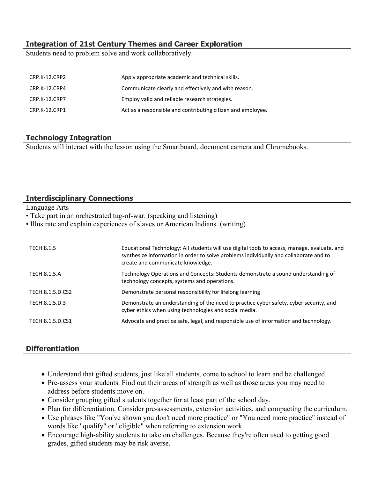#### **Integration of 21st Century Themes and Career Exploration**

Students need to problem solve and work collaboratively.

| CRP.K-12.CRP2 | Apply appropriate academic and technical skills.            |
|---------------|-------------------------------------------------------------|
| CRP.K-12.CRP4 | Communicate clearly and effectively and with reason.        |
| CRP.K-12.CRP7 | Employ valid and reliable research strategies.              |
| CRP.K-12.CRP1 | Act as a responsible and contributing citizen and employee. |

#### **Technology Integration**

Students will interact with the lesson using the Smartboard, document camera and Chromebooks.

#### **Interdisciplinary Connections**

Language Arts

• Take part in an orchestrated tug-of-war. (speaking and listening)

• Illustrate and explain experiences of slaves or American Indians. (writing)

| TECH.8.1.5       | Educational Technology: All students will use digital tools to access, manage, evaluate, and<br>synthesize information in order to solve problems individually and collaborate and to<br>create and communicate knowledge. |
|------------------|----------------------------------------------------------------------------------------------------------------------------------------------------------------------------------------------------------------------------|
| TECH.8.1.5.A     | Technology Operations and Concepts: Students demonstrate a sound understanding of<br>technology concepts, systems and operations.                                                                                          |
| TECH.8.1.5.D.CS2 | Demonstrate personal responsibility for lifelong learning                                                                                                                                                                  |
| TECH.8.1.5.D.3   | Demonstrate an understanding of the need to practice cyber safety, cyber security, and<br>cyber ethics when using technologies and social media.                                                                           |
| TECH.8.1.5.D.CS1 | Advocate and practice safe, legal, and responsible use of information and technology.                                                                                                                                      |

## **Differentiation**

- Understand that gifted students, just like all students, come to school to learn and be challenged.
- Pre-assess your students. Find out their areas of strength as well as those areas you may need to address before students move on.
- Consider grouping gifted students together for at least part of the school day.
- Plan for differentiation. Consider pre-assessments, extension activities, and compacting the curriculum.
- Use phrases like "You've shown you don't need more practice" or "You need more practice" instead of words like "qualify" or "eligible" when referring to extension work.
- Encourage high-ability students to take on challenges. Because they're often used to getting good grades, gifted students may be risk averse.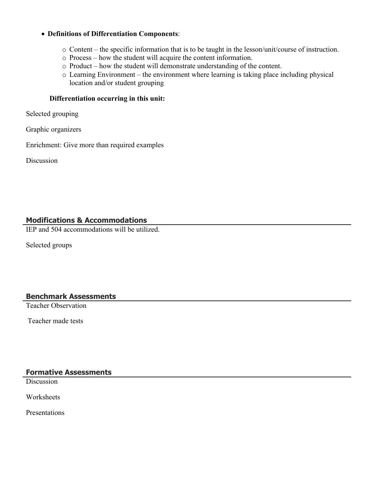#### **Definitions of Differentiation Components**:

- o Content the specific information that is to be taught in the lesson/unit/course of instruction.
- o Process how the student will acquire the content information.
- o Product how the student will demonstrate understanding of the content.
- o Learning Environment the environment where learning is taking place including physical location and/or student grouping

#### **Differentiation occurring in this unit:**

Selected grouping

Graphic organizers

Enrichment: Give more than required examples

Discussion

#### **Modifications & Accommodations**

IEP and 504 accommodations will be utilized.

Selected groups

#### **Benchmark Assessments**

Teacher Observation

Teacher made tests

#### **Formative Assessments**

**Discussion** 

**Worksheets** 

Presentations